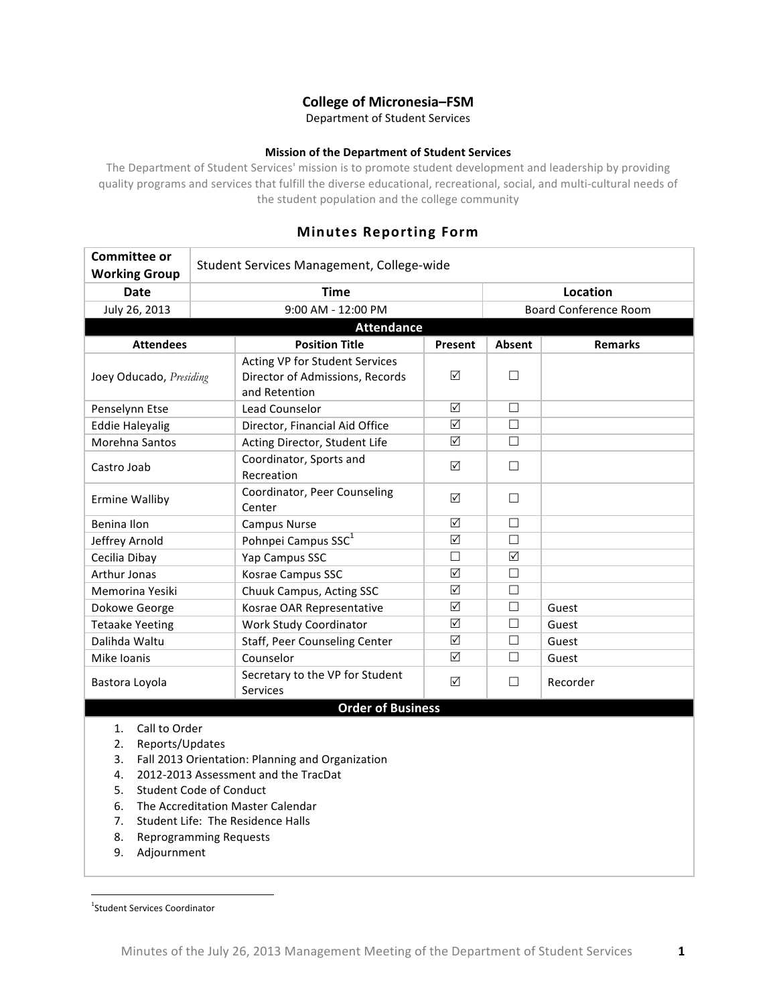# **College of Micronesia–FSM**

Department of Student Services

## **Mission of the Department of Student Services**

The Department of Student Services' mission is to promote student development and leadership by providing quality programs and services that fulfill the diverse educational, recreational, social, and multi-cultural needs of the student population and the college community

# **Minutes Reporting Form**

| Student Services Management, College-wide |                                                                                    |                                                                                                                                                                                                                                         |                                                                                |                |  |
|-------------------------------------------|------------------------------------------------------------------------------------|-----------------------------------------------------------------------------------------------------------------------------------------------------------------------------------------------------------------------------------------|--------------------------------------------------------------------------------|----------------|--|
|                                           | <b>Time</b>                                                                        |                                                                                                                                                                                                                                         | <b>Location</b>                                                                |                |  |
|                                           | 9:00 AM - 12:00 PM                                                                 |                                                                                                                                                                                                                                         | <b>Board Conference Room</b>                                                   |                |  |
| July 26, 2013<br><b>Attendance</b>        |                                                                                    |                                                                                                                                                                                                                                         |                                                                                |                |  |
|                                           | <b>Position Title</b>                                                              | Present                                                                                                                                                                                                                                 | Absent                                                                         | <b>Remarks</b> |  |
| Joey Oducado, Presiding                   | Acting VP for Student Services<br>Director of Admissions, Records<br>and Retention | ☑                                                                                                                                                                                                                                       | $\Box$                                                                         |                |  |
|                                           | Lead Counselor                                                                     | ☑                                                                                                                                                                                                                                       | $\Box$                                                                         |                |  |
|                                           | Director, Financial Aid Office                                                     |                                                                                                                                                                                                                                         |                                                                                |                |  |
|                                           | Acting Director, Student Life                                                      | ☑                                                                                                                                                                                                                                       | $\Box$                                                                         |                |  |
|                                           | Coordinator, Sports and<br>Recreation                                              | $\Delta$                                                                                                                                                                                                                                | $\Box$                                                                         |                |  |
|                                           | Coordinator, Peer Counseling<br>Center                                             | $\Delta$                                                                                                                                                                                                                                | □                                                                              |                |  |
|                                           | <b>Campus Nurse</b>                                                                | ☑                                                                                                                                                                                                                                       | П                                                                              |                |  |
|                                           |                                                                                    | ☑                                                                                                                                                                                                                                       | П                                                                              |                |  |
|                                           | Yap Campus SSC                                                                     | $\Box$                                                                                                                                                                                                                                  | ☑                                                                              |                |  |
|                                           | Kosrae Campus SSC                                                                  |                                                                                                                                                                                                                                         | $\Box$                                                                         |                |  |
|                                           | Chuuk Campus, Acting SSC                                                           | $\Delta$                                                                                                                                                                                                                                | $\Box$                                                                         |                |  |
|                                           | Kosrae OAR Representative                                                          | ☑                                                                                                                                                                                                                                       | $\Box$                                                                         | Guest          |  |
|                                           | Work Study Coordinator                                                             | ☑                                                                                                                                                                                                                                       | $\Box$                                                                         | Guest          |  |
|                                           | Staff, Peer Counseling Center                                                      | $\Delta$                                                                                                                                                                                                                                | $\Box$                                                                         | Guest          |  |
|                                           | Counselor                                                                          | ☑                                                                                                                                                                                                                                       | $\Box$                                                                         | Guest          |  |
|                                           | Secretary to the VP for Student<br><b>Services</b>                                 | $\Delta$                                                                                                                                                                                                                                | $\Box$                                                                         | Recorder       |  |
|                                           |                                                                                    |                                                                                                                                                                                                                                         |                                                                                |                |  |
| Call to Order<br>Reports/Updates          |                                                                                    |                                                                                                                                                                                                                                         |                                                                                |                |  |
|                                           |                                                                                    | Pohnpei Campus SSC <sup>1</sup><br>Fall 2013 Orientation: Planning and Organization<br>2012-2013 Assessment and the TracDat<br><b>Student Code of Conduct</b><br>The Accreditation Master Calendar<br>Student Life: The Residence Halls | $\overline{\mathsf{M}}$<br>$\overline{\mathsf{M}}$<br><b>Order of Business</b> | $\Box$         |  |

- 8. Reprogramming Requests
- 9. Adjournment

 $\frac{1}{1}$ <sup>1</sup>Student Services Coordinator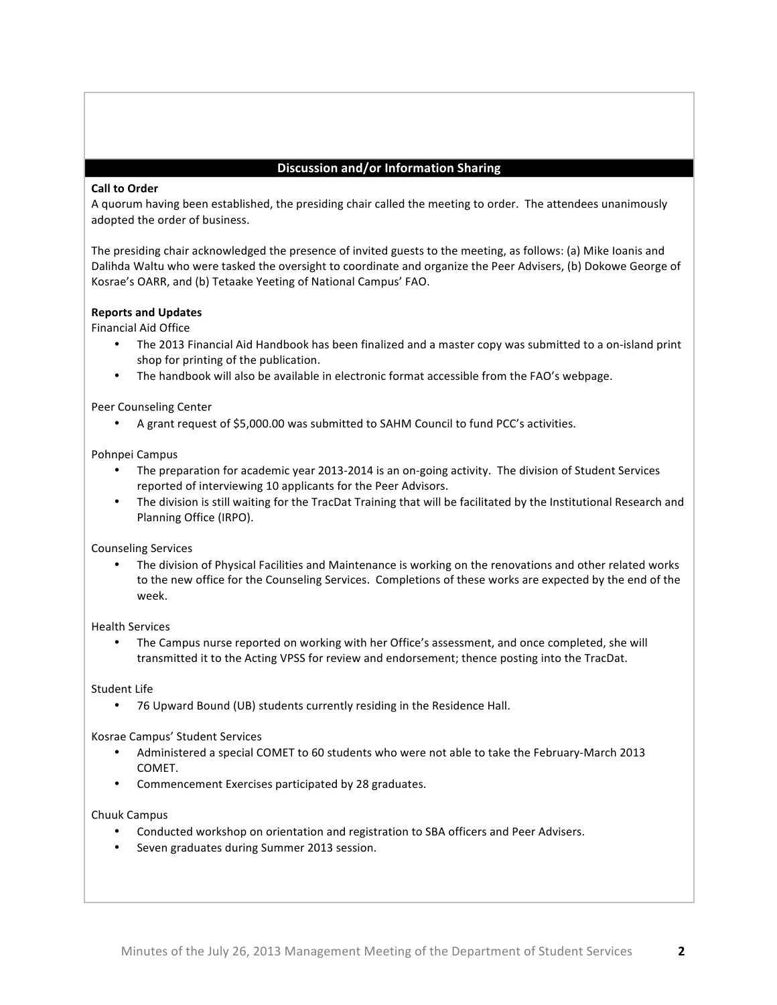# **Discussion and/or Information Sharing**

## **Call to Order**

A quorum having been established, the presiding chair called the meeting to order. The attendees unanimously adopted the order of business.

The presiding chair acknowledged the presence of invited guests to the meeting, as follows: (a) Mike Ioanis and Dalihda Waltu who were tasked the oversight to coordinate and organize the Peer Advisers, (b) Dokowe George of Kosrae's OARR, and (b) Tetaake Yeeting of National Campus' FAO.

## **Reports and Updates**

Financial Aid Office

- The 2013 Financial Aid Handbook has been finalized and a master copy was submitted to a on-island print shop for printing of the publication.
- The handbook will also be available in electronic format accessible from the FAO's webpage.

Peer Counseling Center

• A grant request of \$5,000.00 was submitted to SAHM Council to fund PCC's activities.

Pohnpei Campus

- The preparation for academic year 2013-2014 is an on-going activity. The division of Student Services reported of interviewing 10 applicants for the Peer Advisors.
- The division is still waiting for the TracDat Training that will be facilitated by the Institutional Research and Planning Office (IRPO).

Counseling Services

The division of Physical Facilities and Maintenance is working on the renovations and other related works to the new office for the Counseling Services. Completions of these works are expected by the end of the week.

Health Services

The Campus nurse reported on working with her Office's assessment, and once completed, she will transmitted it to the Acting VPSS for review and endorsement; thence posting into the TracDat.

Student Life

• 76 Upward Bound (UB) students currently residing in the Residence Hall.

Kosrae Campus' Student Services

- Administered a special COMET to 60 students who were not able to take the February-March 2013 COMET.
- Commencement Exercises participated by 28 graduates.

Chuuk Campus

- Conducted workshop on orientation and registration to SBA officers and Peer Advisers.
- Seven graduates during Summer 2013 session.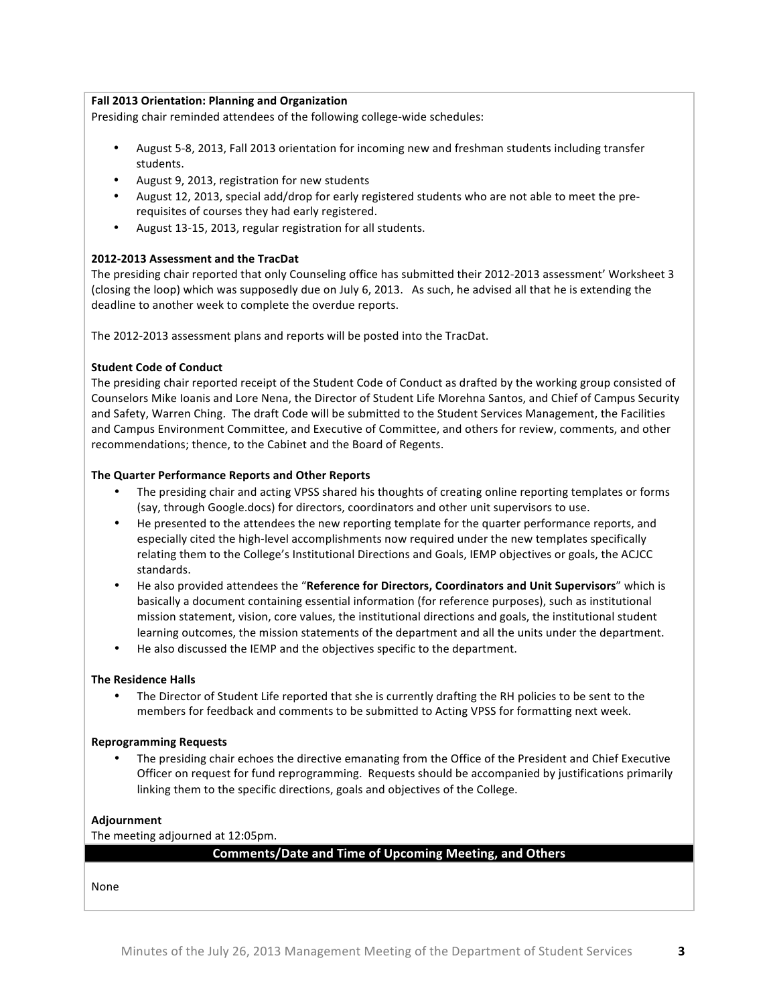## **Fall 2013 Orientation: Planning and Organization**

Presiding chair reminded attendees of the following college-wide schedules:

- August 5-8, 2013, Fall 2013 orientation for incoming new and freshman students including transfer students.
- August 9, 2013, registration for new students
- August 12, 2013, special add/drop for early registered students who are not able to meet the prerequisites of courses they had early registered.
- August 13-15, 2013, regular registration for all students.

## **2012-2013 Assessment and the TracDat**

The presiding chair reported that only Counseling office has submitted their 2012-2013 assessment' Worksheet 3 (closing the loop) which was supposedly due on July 6, 2013. As such, he advised all that he is extending the deadline to another week to complete the overdue reports.

The 2012-2013 assessment plans and reports will be posted into the TracDat.

## **Student Code of Conduct**

The presiding chair reported receipt of the Student Code of Conduct as drafted by the working group consisted of Counselors Mike Ioanis and Lore Nena, the Director of Student Life Morehna Santos, and Chief of Campus Security and Safety, Warren Ching. The draft Code will be submitted to the Student Services Management, the Facilities and Campus Environment Committee, and Executive of Committee, and others for review, comments, and other recommendations; thence, to the Cabinet and the Board of Regents.

## **The Quarter Performance Reports and Other Reports**

- The presiding chair and acting VPSS shared his thoughts of creating online reporting templates or forms (say, through Google.docs) for directors, coordinators and other unit supervisors to use.
- He presented to the attendees the new reporting template for the quarter performance reports, and especially cited the high-level accomplishments now required under the new templates specifically relating them to the College's Institutional Directions and Goals, IEMP objectives or goals, the ACJCC standards.
- He also provided attendees the "Reference for Directors, Coordinators and Unit Supervisors" which is basically a document containing essential information (for reference purposes), such as institutional mission statement, vision, core values, the institutional directions and goals, the institutional student learning outcomes, the mission statements of the department and all the units under the department.
- He also discussed the IEMP and the objectives specific to the department.

#### **The Residence Halls**

The Director of Student Life reported that she is currently drafting the RH policies to be sent to the members for feedback and comments to be submitted to Acting VPSS for formatting next week.

#### **Reprogramming Requests**

The presiding chair echoes the directive emanating from the Office of the President and Chief Executive Officer on request for fund reprogramming. Requests should be accompanied by justifications primarily linking them to the specific directions, goals and objectives of the College.

#### **Adjournment**

The meeting adjourned at 12:05pm.

#### **Comments/Date and Time of Upcoming Meeting, and Others**

None